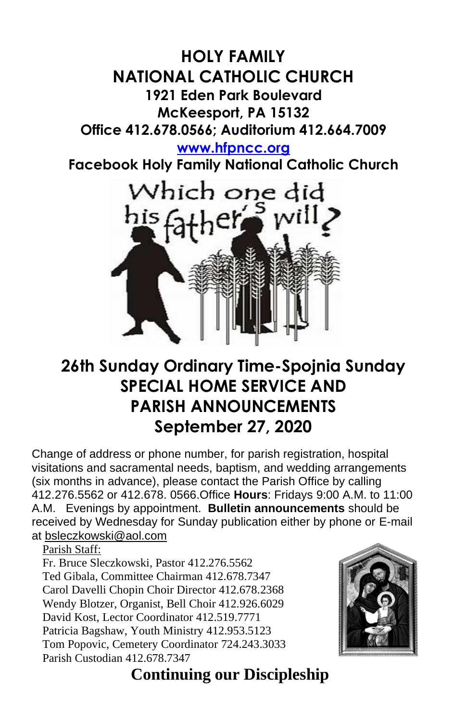## **HOLY FAMILY NATIONAL CATHOLIC CHURCH 1921 Eden Park Boulevard McKeesport, PA 15132 Office 412.678.0566; Auditorium 412.664.7009**

**[www.hfpncc.org](http://www.hfpncc.org/)**

**Facebook Holy Family National Catholic Church**



# **26th Sunday Ordinary Time-Spojnia Sunday SPECIAL HOME SERVICE AND PARISH ANNOUNCEMENTS September 27, 2020**

Change of address or phone number, for parish registration, hospital visitations and sacramental needs, baptism, and wedding arrangements (six months in advance), please contact the Parish Office by calling 412.276.5562 or 412.678. 0566.Office **Hours**: Fridays 9:00 A.M. to 11:00 A.M. Evenings by appointment. **Bulletin announcements** should be received by Wednesday for Sunday publication either by phone or E-mail at [bsleczkowski@aol.com](mailto:bsleczkowski@aol.com)

Parish Staff:

Fr. Bruce Sleczkowski, Pastor 412.276.5562 Ted Gibala, Committee Chairman 412.678.7347 Carol Davelli Chopin Choir Director 412.678.2368 Wendy Blotzer, Organist, Bell Choir 412.926.6029 David Kost, Lector Coordinator 412.519.7771 Patricia Bagshaw, Youth Ministry 412.953.5123 Tom Popovic, Cemetery Coordinator 724.243.3033 Parish Custodian 412.678.7347



 **Continuing our Discipleship**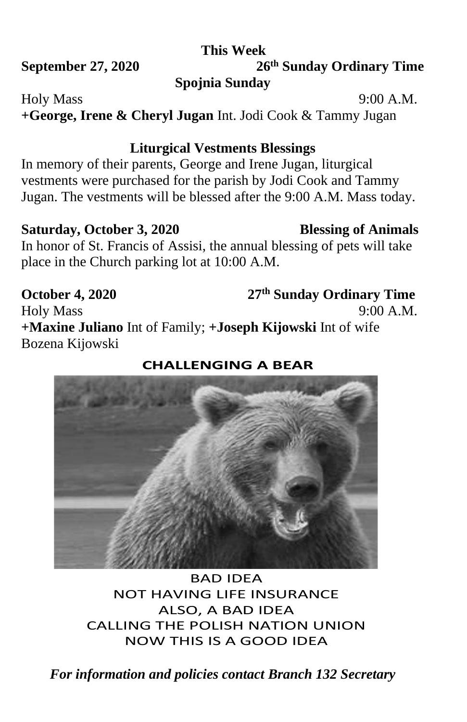### **This Week**

**September 27, 2020** 

# **th Sunday Ordinary Time Spojnia Sunday**

Holy Mass 9:00 A.M.

**+George, Irene & Cheryl Jugan** Int. Jodi Cook & Tammy Jugan

## **Liturgical Vestments Blessings**

In memory of their parents, George and Irene Jugan, liturgical vestments were purchased for the parish by Jodi Cook and Tammy Jugan. The vestments will be blessed after the 9:00 A.M. Mass today.

### Saturday, October 3, 2020 **Blessing of Animals**

In honor of St. Francis of Assisi, the annual blessing of pets will take place in the Church parking lot at 10:00 A.M.

**October 4, 2020 th Sunday Ordinary Time** Holy Mass 9:00 A.M. **+Maxine Juliano** Int of Family; **+Joseph Kijowski** Int of wife Bozena Kijowski

### **CHALLENGING A BEAR**

BAD IDEA NOT HAVING LIFE INSURANCE ALSO, A BAD IDEA CALLING THE POLISH NATION UNION NOW THIS IS A GOOD IDEA

*For information and policies contact Branch 132 Secretary*